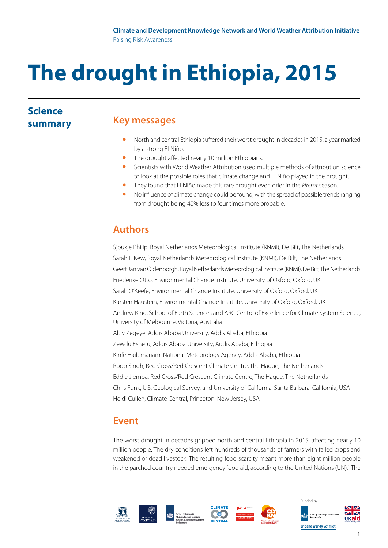# **The drought in Ethiopia, 2015**

## **Science summary**

## **Key messages**

- North and central Ethiopia suffered their worst drought in decades in 2015, a year marked by a strong El Niño.
- The drought affected nearly 10 million Ethiopians.<br>• Scientists with World Weather Attribution used mi
- Scientists with World Weather Attribution used multiple methods of attribution science to look at the possible roles that climate change and El Niño played in the drought.
- They found that El Niño made this rare drought even drier in the *kiremt* season.
- No influence of climate change could be found, with the spread of possible trends ranging from drought being 40% less to four times more probable.

# **Authors**

Sjoukje Philip, Royal Netherlands Meteorological Institute (KNMI), De Bilt, The Netherlands Sarah F. Kew, Royal Netherlands Meteorological Institute (KNMI), De Bilt, The Netherlands Geert Jan van Oldenborgh, Royal Netherlands Meteorological Institute (KNMI), De Bilt, The Netherlands Friederike Otto, Environmental Change Institute, University of Oxford, Oxford, UK Sarah O'Keefe, Environmental Change Institute, University of Oxford, Oxford, UK Karsten Haustein, Environmental Change Institute, University of Oxford, Oxford, UK Andrew King, School of Earth Sciences and ARC Centre of Excellence for Climate System Science, University of Melbourne, Victoria, Australia Abiy Zegeye, Addis Ababa University, Addis Ababa, Ethiopia Zewdu Eshetu, Addis Ababa University, Addis Ababa, Ethiopia Kinfe Hailemariam, National Meteorology Agency, Addis Ababa, Ethiopia Roop Singh, Red Cross/Red Crescent Climate Centre, The Hague, The Netherlands Eddie Jjemba, Red Cross/Red Crescent Climate Centre, The Hague, The Netherlands Chris Funk, U.S. Geological Survey, and University of California, Santa Barbara, California, USA Heidi Cullen, Climate Central, Princeton, New Jersey, USA

# **Event**

The worst drought in decades gripped north and central Ethiopia in 2015, affecting nearly 10 million people. The dry conditions left hundreds of thousands of farmers with failed crops and weakened or dead livestock. The resulting food scarcity meant more than eight million people in the parched country needed emergency food aid, according to the United Nations (UN).<sup>1</sup> The









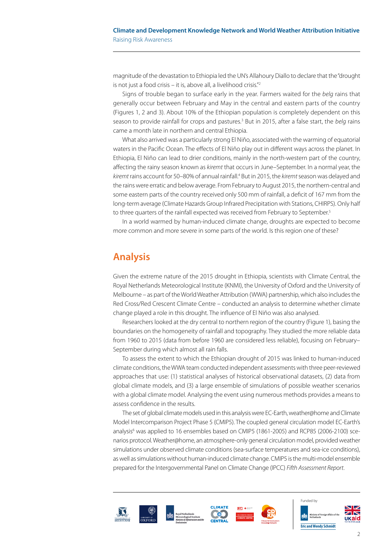magnitude of the devastation to Ethiopia led the UN's Allahoury Diallo to declare that the "drought is not just a food crisis – it is, above all, a livelihood crisis."2

Signs of trouble began to surface early in the year. Farmers waited for the *belg* rains that generally occur between February and May in the central and eastern parts of the country (Figures 1, 2 and 3). About 10% of the Ethiopian population is completely dependent on this season to provide rainfall for crops and pastures.<sup>3</sup> But in 2015, after a false start, the *belg* rains came a month late in northern and central Ethiopia.

What also arrived was a particularly strong El Niño, associated with the warming of equatorial waters in the Pacific Ocean. The effects of El Niño play out in different ways across the planet. In Ethiopia, El Niño can lead to drier conditions, mainly in the north-western part of the country, affecting the rainy season known as *kiremt* that occurs in June–September. In a normal year, the kiremt rains account for 50–80% of annual rainfall.<sup>4</sup> But in 2015, the kiremt season was delayed and the rains were erratic and below average. From February to August 2015, the northern-central and some eastern parts of the country received only 500 mm of rainfall, a deficit of 167 mm from the long-term average (Climate Hazards Group Infrared Precipitation with Stations, CHIRPS). Only half to three quarters of the rainfall expected was received from February to September.<sup>5</sup>

In a world warmed by human-induced climate change, droughts are expected to become more common and more severe in some parts of the world. Is this region one of these?

### **Analysis**

Given the extreme nature of the 2015 drought in Ethiopia, scientists with Climate Central, the Royal Netherlands Meteorological Institute (KNMI)[,](http://www.knmi.nl/index_en.html) th[e](http://www.eci.ox.ac.uk/) University of Oxford and the University of Melbourne – as part of the World Weather Attribution (WWA) partnership, which also includes the Red Cross/Red Crescent Climate Centre – conducted an analysis to determine whether climate change played a role in this drought. The influence of El Niño was also analysed.

Researchers looked at the dry central to northern region of the country (Figure 1), basing the boundaries on the homogeneity of rainfall and topography. They studied the more reliable data from 1960 to 2015 (data from before 1960 are considered less reliable), focusing on February– September during which almost all rain falls.

To assess the extent to which the Ethiopian drought of 2015 was linked to human-induced climate conditions, the WWA team conducted independent assessments with three peer-reviewed approaches that use: (1) statistical analyses of historical observational datasets, (2) data from global climate models, and (3) a large ensemble of simulations of possible weather scenarios with a global climate model. Analysing the event using numerous methods provides a means to assess confidence in the results.

The set of global climate models used in this analysis were EC-Earth, weather@home and Climate Model Intercomparison Project Phase 5 (CMIP5). The coupled general circulation model EC-Earth's analysis<sup>6</sup> was applied to 16 ensembles based on CMIP5 (1861-2005) and RCP85 (2006-2100) scenarios protocol. Weather@home, an atmosphere-only general circulation model, provided weather simulations under observed climate conditions (sea-surface temperatures and sea-ice conditions), as well as simulations without human-induced climate change. CMIP5 is the multi-model ensemble prepared for the Intergovernmental Panel on Climate Change (IPCC) *Fifth Assessment Report*.







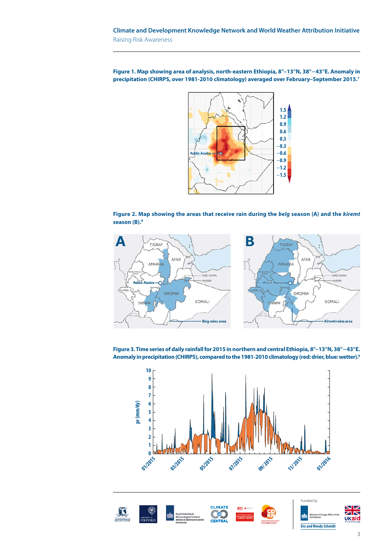**Figure 1. Map showing area of analysis, north-eastern Ethiopia, 8°–13°N, 38°–43°E. Anomaly in precipitation (CHIRPS, over 1981-2010 climatology) averaged over February–September 2015.7**







**Figure 3. Time series of daily rainfall for 2015 in northern and central Ethiopia, 8°–13°N, 38°–43°E. Anomaly in precipitation (CHIRPS), compared to the 1981-2010 climatology (red: drier, blue: wetter).9**



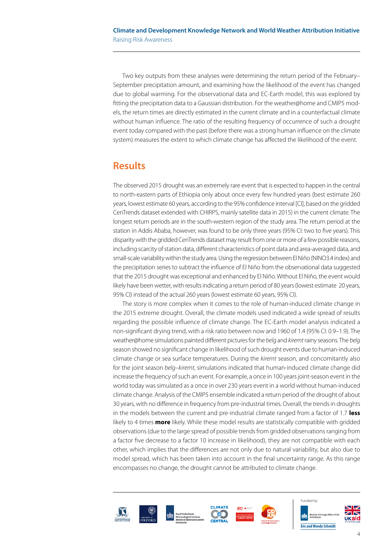Two key outputs from these analyses were determining the return period of the February– September precipitation amount, and examining how the likelihood of the event has changed due to global warming. For the observational data and EC-Earth model, this was explored by fitting the precipitation data to a Gaussian distribution. For the weather@home and CMIP5 models, the return times are directly estimated in the current climate and in a counterfactual climate without human influence. The ratio of the resulting frequency of occurrence of such a drought event today compared with the past (before there was a strong human influence on the climate system) measures the extent to which climate change has affected the likelihood of the event.

## **Results**

The observed 2015 drought was an extremely rare event that is expected to happen in the central to north-eastern parts of Ethiopia only about once every few hundred years (best estimate 260 years, lowest estimate 60 years, according to the 95% confidence interval [CI], based on the gridded CenTrends dataset extended with CHIRPS, mainly satellite data in 2015) in the current climate. The longest return periods are in the south-western region of the study area. The return period at the station in Addis Ababa, however, was found to be only three years (95% CI: two to five years). This disparity with the gridded CenTrends dataset may result from one or more of a few possible reasons, including scarcity of station data, different characteristics of point data and area-averaged data, and small-scale variability within the study area. Using the regression between El Niño (NINO3.4 index) and the precipitation series to subtract the influence of El Niño from the observational data suggested that the 2015 drought was exceptional and enhanced by El Niño. Without El Niño, the event would likely have been wetter, with results indicating a return period of 80 years (lowest estimate 20 years, 95% CI) instead of the actual 260 years (lowest estimate 60 years, 95% CI).

The story is more complex when it comes to the role of human-induced climate change in the 2015 extreme drought. Overall, the climate models used indicated a wide spread of results regarding the possible influence of climate change. The EC-Earth model analysis indicated a non-significant drying trend, with a risk ratio between now and 1960 of 1.4 (95% CI: 0.9–1.9). The weather@home simulations painted different pictures for the *belg* and *kiremt* rainy seasons. The *belg* season showed no significant change in likelihood of such drought events due to human-induced climate change or sea surface temperatures. During the *kiremt* season, and concomitantly also for the joint season *belg–kiremt*, simulations indicated that human-induced climate change did increase the frequency of such an event. For example, a once in 100 years joint-season event in the world today was simulated as a once in over 230 years event in a world without human-induced climate change. Analysis of the CMIP5 ensemble indicated a return period of the drought of about 30 years, with no difference in frequency from pre-industrial times. Overall, the trends in droughts in the models between the current and pre-industrial climate ranged from a factor of 1.7 **less** likely to 4 times **more** likely. While these model results are statistically compatible with gridded observations (due to the large spread of possible trends from gridded observations ranging from a factor five decrease to a factor 10 increase in likelihood), they are not compatible with each other, which implies that the differences are not only due to natural variability, but also due to model spread, which has been taken into account in the final uncertainty range. As this range encompasses no change, the drought cannot be attributed to climate change.









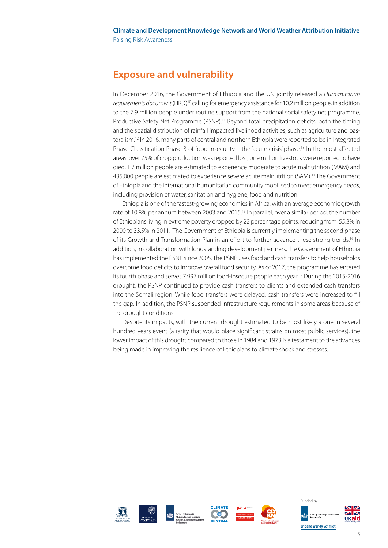# **Exposure and vulnerability**

In December 2016, the Government of Ethiopia and the UN jointly released a *Humanitarian requirements document* (HRD)10 calling for emergency assistance for 10.2 million people, in addition to the 7.9 million people under routine support from the national social safety net programme, Productive Safety Net Programme (PSNP).<sup>11</sup> Beyond total precipitation deficits, both the timing and the spatial distribution of rainfall impacted livelihood activities, such as agriculture and pastoralism.<sup>12</sup> In 2016, many parts of central and northern Ethiopia were reported to be in Integrated Phase Classification Phase 3 of food insecurity – the 'acute crisis' phase.<sup>13</sup> In the most affected areas, over 75% of crop production was reported lost, one million livestock were reported to have died, 1.7 million people are estimated to experience moderate to acute malnutrition (MAM) and 435,000 people are estimated to experience severe acute malnutrition (SAM).<sup>14</sup> The Government of Ethiopia and the international humanitarian community mobilised to meet emergency needs, including provision of water, sanitation and hygiene, food and nutrition.

Ethiopia is one of the fastest-growing economies in Africa, with an average economic growth rate of 10.8% per annum between 2003 and 2015.<sup>15</sup> In parallel, over a similar period, the number of Ethiopians living in extreme poverty dropped by 22 percentage points, reducing from 55.3% in 2000 to 33.5% in 2011. The Government of Ethiopia is currently implementing the second phase of its Growth and Transformation Plan in an effort to further advance these strong trends.<sup>16</sup> In addition, in collaboration with longstanding development partners, the Government of Ethiopia has implemented the PSNP since 2005. The PSNP uses food and cash transfers to help households overcome food deficits to improve overall food security. As of 2017, the programme has entered its fourth phase and serves 7.997 million food-insecure people each year.17 During the 2015-2016 drought, the PSNP continued to provide cash transfers to clients and extended cash transfers into the Somali region. While food transfers were delayed, cash transfers were increased to fill the gap. In addition, the PSNP suspended infrastructure requirements in some areas because of the drought conditions.

Despite its impacts, with the current drought estimated to be most likely a one in several hundred years event (a rarity that would place significant strains on most public services), the lower impact of this drought compared to those in 1984 and 1973 is a testament to the advances being made in improving the resilience of Ethiopians to climate shock and stresses.









Funded by **Eric and Wendy Schmidt**

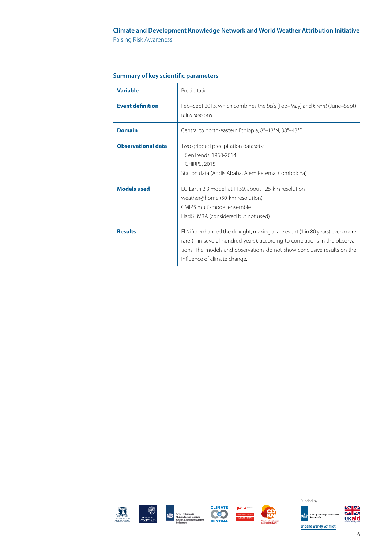#### **Climate and Development Knowledge Network and World Weather Attribution Initiative** Raising Risk Awareness

| <b>Variable</b>           | Precipitation                                                                                                                                                                                                                                                           |
|---------------------------|-------------------------------------------------------------------------------------------------------------------------------------------------------------------------------------------------------------------------------------------------------------------------|
| <b>Event definition</b>   | Feb–Sept 2015, which combines the belg (Feb–May) and kiremt (June–Sept)<br>rainy seasons                                                                                                                                                                                |
| <b>Domain</b>             | Central to north-eastern Ethiopia, 8°–13°N, 38°–43°E                                                                                                                                                                                                                    |
| <b>Observational data</b> | Two gridded precipitation datasets:<br>CenTrends, 1960-2014<br><b>CHIRPS, 2015</b><br>Station data (Addis Ababa, Alem Ketema, Combolcha)                                                                                                                                |
| <b>Models used</b>        | EC-Earth 2.3 model, at T159, about 125-km resolution<br>weather@home (50-km resolution)<br>CMIP5 multi-model ensemble<br>HadGEM3A (considered but not used)                                                                                                             |
| <b>Results</b>            | El Niño enhanced the drought, making a rare event (1 in 80 years) even more<br>rare (1 in several hundred years), according to correlations in the observa-<br>tions. The models and observations do not show conclusive results on the<br>influence of climate change. |

#### **Summary of key scientific parameters**